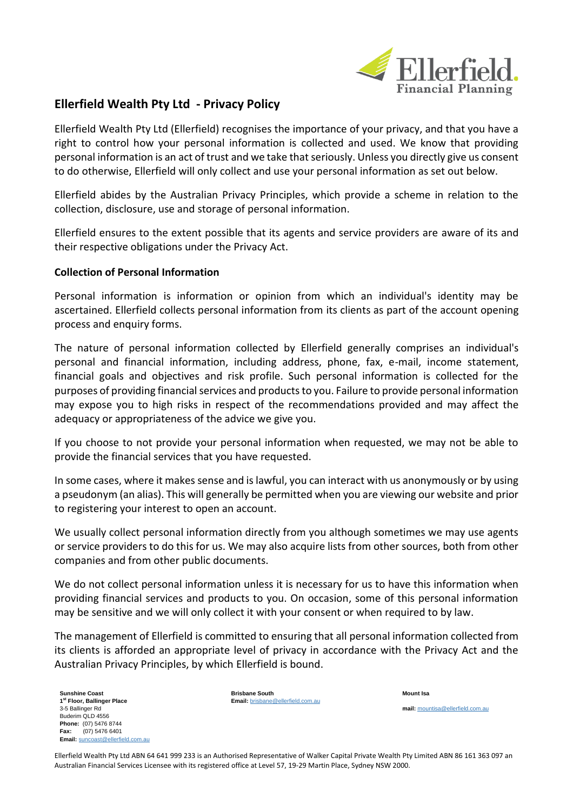

# **Ellerfield Wealth Pty Ltd - Privacy Policy**

Ellerfield Wealth Pty Ltd (Ellerfield) recognises the importance of your privacy, and that you have a right to control how your personal information is collected and used. We know that providing personal information is an act of trust and we take that seriously. Unless you directly give us consent to do otherwise, Ellerfield will only collect and use your personal information as set out below.

Ellerfield abides by the Australian Privacy Principles, which provide a scheme in relation to the collection, disclosure, use and storage of personal information.

Ellerfield ensures to the extent possible that its agents and service providers are aware of its and their respective obligations under the Privacy Act.

# **Collection of Personal Information**

Personal information is information or opinion from which an individual's identity may be ascertained. Ellerfield collects personal information from its clients as part of the account opening process and enquiry forms.

The nature of personal information collected by Ellerfield generally comprises an individual's personal and financial information, including address, phone, fax, e-mail, income statement, financial goals and objectives and risk profile. Such personal information is collected for the purposes of providing financial services and products to you. Failure to provide personal information may expose you to high risks in respect of the recommendations provided and may affect the adequacy or appropriateness of the advice we give you.

If you choose to not provide your personal information when requested, we may not be able to provide the financial services that you have requested.

In some cases, where it makes sense and is lawful, you can interact with us anonymously or by using a pseudonym (an alias). This will generally be permitted when you are viewing our website and prior to registering your interest to open an account.

We usually collect personal information directly from you although sometimes we may use agents or service providers to do this for us. We may also acquire lists from other sources, both from other companies and from other public documents.

We do not collect personal information unless it is necessary for us to have this information when providing financial services and products to you. On occasion, some of this personal information may be sensitive and we will only collect it with your consent or when required to by law.

The management of Ellerfield is committed to ensuring that all personal information collected from its clients is afforded an appropriate level of privacy in accordance with the Privacy Act and the Australian Privacy Principles, by which Ellerfield is bound.

**Sunshine Coast 1 st Floor, Ballinger Place** 3-5 Ballinger Rd Buderim QLD 4556 **Phone:** (07) 5476 8744 **Fax:** (07) 5476 6401 **Email:** [suncoast@ellerfield.com.au](mailto:suncoast@ellerfield.com.au) **Brisbane South Email:** [brisbane@ellerfield.com.au](mailto:brisbane@ellerfield.com.au) **Mount Isa mail:** [mountisa@ellerfield.com.au](mailto:mountisa@ellerfield.com.au)

Ellerfield Wealth Pty Ltd ABN 64 641 999 233 is an Authorised Representative of Walker Capital Private Wealth Pty Limited ABN 86 161 363 097 an Australian Financial Services Licensee with its registered office at Level 57, 19-29 Martin Place, Sydney NSW 2000.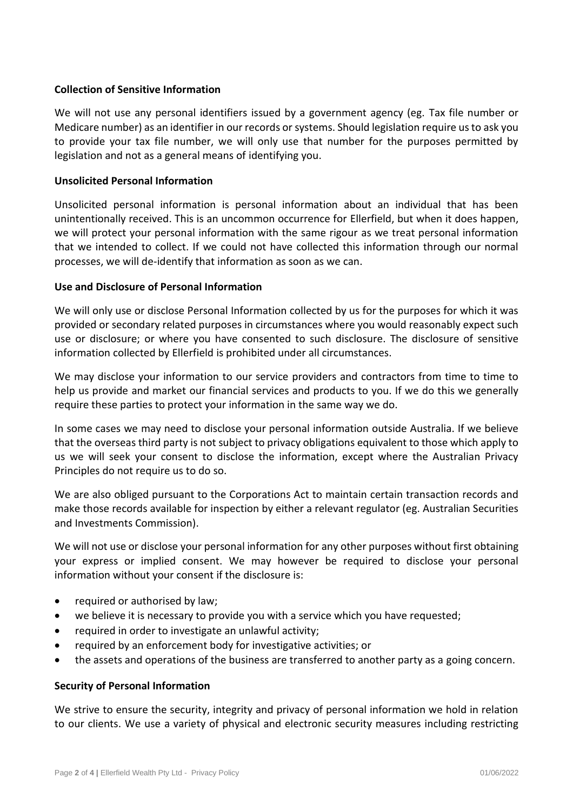# **Collection of Sensitive Information**

We will not use any personal identifiers issued by a government agency (eg. Tax file number or Medicare number) as an identifier in our records or systems. Should legislation require us to ask you to provide your tax file number, we will only use that number for the purposes permitted by legislation and not as a general means of identifying you.

# **Unsolicited Personal Information**

Unsolicited personal information is personal information about an individual that has been unintentionally received. This is an uncommon occurrence for Ellerfield, but when it does happen, we will protect your personal information with the same rigour as we treat personal information that we intended to collect. If we could not have collected this information through our normal processes, we will de-identify that information as soon as we can.

# **Use and Disclosure of Personal Information**

We will only use or disclose Personal Information collected by us for the purposes for which it was provided or secondary related purposes in circumstances where you would reasonably expect such use or disclosure; or where you have consented to such disclosure. The disclosure of sensitive information collected by Ellerfield is prohibited under all circumstances.

We may disclose your information to our service providers and contractors from time to time to help us provide and market our financial services and products to you. If we do this we generally require these parties to protect your information in the same way we do.

In some cases we may need to disclose your personal information outside Australia. If we believe that the overseas third party is not subject to privacy obligations equivalent to those which apply to us we will seek your consent to disclose the information, except where the Australian Privacy Principles do not require us to do so.

We are also obliged pursuant to the Corporations Act to maintain certain transaction records and make those records available for inspection by either a relevant regulator (eg. Australian Securities and Investments Commission).

We will not use or disclose your personal information for any other purposes without first obtaining your express or implied consent. We may however be required to disclose your personal information without your consent if the disclosure is:

- required or authorised by law;
- we believe it is necessary to provide you with a service which you have requested;
- required in order to investigate an unlawful activity;
- required by an enforcement body for investigative activities; or
- the assets and operations of the business are transferred to another party as a going concern.

# **Security of Personal Information**

We strive to ensure the security, integrity and privacy of personal information we hold in relation to our clients. We use a variety of physical and electronic security measures including restricting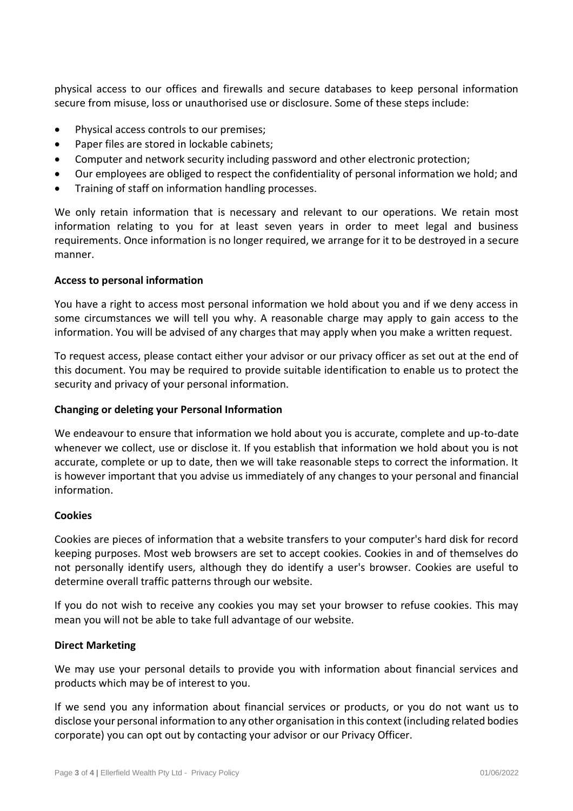physical access to our offices and firewalls and secure databases to keep personal information secure from misuse, loss or unauthorised use or disclosure. Some of these steps include:

- Physical access controls to our premises;
- Paper files are stored in lockable cabinets;
- Computer and network security including password and other electronic protection;
- Our employees are obliged to respect the confidentiality of personal information we hold; and
- Training of staff on information handling processes.

We only retain information that is necessary and relevant to our operations. We retain most information relating to you for at least seven years in order to meet legal and business requirements. Once information is no longer required, we arrange for it to be destroyed in a secure manner.

#### **Access to personal information**

You have a right to access most personal information we hold about you and if we deny access in some circumstances we will tell you why. A reasonable charge may apply to gain access to the information. You will be advised of any charges that may apply when you make a written request.

To request access, please contact either your advisor or our privacy officer as set out at the end of this document. You may be required to provide suitable identification to enable us to protect the security and privacy of your personal information.

## **Changing or deleting your Personal Information**

We endeavour to ensure that information we hold about you is accurate, complete and up-to-date whenever we collect, use or disclose it. If you establish that information we hold about you is not accurate, complete or up to date, then we will take reasonable steps to correct the information. It is however important that you advise us immediately of any changes to your personal and financial information.

#### **Cookies**

Cookies are pieces of information that a website transfers to your computer's hard disk for record keeping purposes. Most web browsers are set to accept cookies. Cookies in and of themselves do not personally identify users, although they do identify a user's browser. Cookies are useful to determine overall traffic patterns through our website.

If you do not wish to receive any cookies you may set your browser to refuse cookies. This may mean you will not be able to take full advantage of our website.

#### **Direct Marketing**

We may use your personal details to provide you with information about financial services and products which may be of interest to you.

If we send you any information about financial services or products, or you do not want us to disclose your personal information to any other organisation in this context (including related bodies corporate) you can opt out by contacting your advisor or our Privacy Officer.